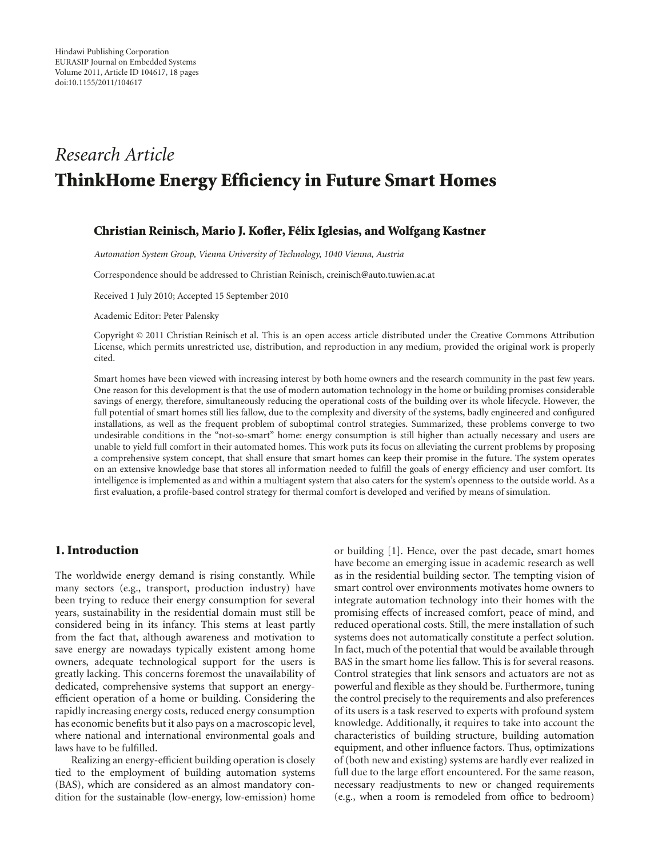# *Research Article* **ThinkHome Energy Efficiency in Future Smart Homes**

## **Christian Reinisch, Mario J. Kofler, Felix Iglesias, and Wolfgang Kastner ´**

*Automation System Group, Vienna University of Technology, 1040 Vienna, Austria*

Correspondence should be addressed to Christian Reinisch, creinisch@auto.tuwien.ac.at

Received 1 July 2010; Accepted 15 September 2010

Academic Editor: Peter Palensky

Copyright © 2011 Christian Reinisch et al. This is an open access article distributed under the Creative Commons Attribution License, which permits unrestricted use, distribution, and reproduction in any medium, provided the original work is properly cited.

Smart homes have been viewed with increasing interest by both home owners and the research community in the past few years. One reason for this development is that the use of modern automation technology in the home or building promises considerable savings of energy, therefore, simultaneously reducing the operational costs of the building over its whole lifecycle. However, the full potential of smart homes still lies fallow, due to the complexity and diversity of the systems, badly engineered and configured installations, as well as the frequent problem of suboptimal control strategies. Summarized, these problems converge to two undesirable conditions in the "not-so-smart" home: energy consumption is still higher than actually necessary and users are unable to yield full comfort in their automated homes. This work puts its focus on alleviating the current problems by proposing a comprehensive system concept, that shall ensure that smart homes can keep their promise in the future. The system operates on an extensive knowledge base that stores all information needed to fulfill the goals of energy efficiency and user comfort. Its intelligence is implemented as and within a multiagent system that also caters for the system's openness to the outside world. As a first evaluation, a profile-based control strategy for thermal comfort is developed and verified by means of simulation.

## **1. Introduction**

The worldwide energy demand is rising constantly. While many sectors (e.g., transport, production industry) have been trying to reduce their energy consumption for several years, sustainability in the residential domain must still be considered being in its infancy. This stems at least partly from the fact that, although awareness and motivation to save energy are nowadays typically existent among home owners, adequate technological support for the users is greatly lacking. This concerns foremost the unavailability of dedicated, comprehensive systems that support an energyefficient operation of a home or building. Considering the rapidly increasing energy costs, reduced energy consumption has economic benefits but it also pays on a macroscopic level, where national and international environmental goals and laws have to be fulfilled.

Realizing an energy-efficient building operation is closely tied to the employment of building automation systems (BAS), which are considered as an almost mandatory condition for the sustainable (low-energy, low-emission) home

or building [1]. Hence, over the past decade, smart homes have become an emerging issue in academic research as well as in the residential building sector. The tempting vision of smart control over environments motivates home owners to integrate automation technology into their homes with the promising effects of increased comfort, peace of mind, and reduced operational costs. Still, the mere installation of such systems does not automatically constitute a perfect solution. In fact, much of the potential that would be available through BAS in the smart home lies fallow. This is for several reasons. Control strategies that link sensors and actuators are not as powerful and flexible as they should be. Furthermore, tuning the control precisely to the requirements and also preferences of its users is a task reserved to experts with profound system knowledge. Additionally, it requires to take into account the characteristics of building structure, building automation equipment, and other influence factors. Thus, optimizations of (both new and existing) systems are hardly ever realized in full due to the large effort encountered. For the same reason, necessary readjustments to new or changed requirements (e.g., when a room is remodeled from office to bedroom)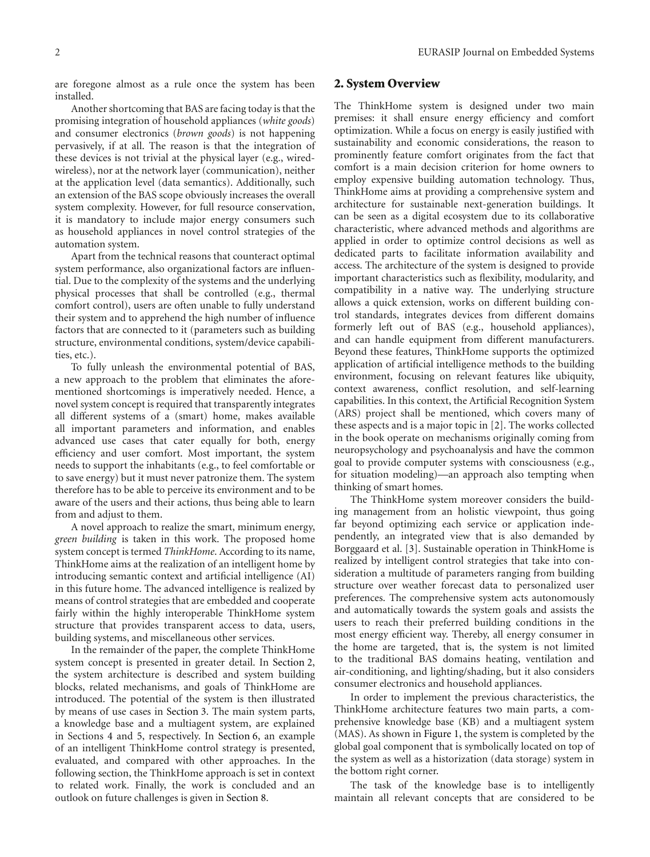are foregone almost as a rule once the system has been installed.

Another shortcoming that BAS are facing today is that the promising integration of household appliances (*white goods*) and consumer electronics (*brown goods*) is not happening pervasively, if at all. The reason is that the integration of these devices is not trivial at the physical layer (e.g., wiredwireless), nor at the network layer (communication), neither at the application level (data semantics). Additionally, such an extension of the BAS scope obviously increases the overall system complexity. However, for full resource conservation, it is mandatory to include major energy consumers such as household appliances in novel control strategies of the automation system.

Apart from the technical reasons that counteract optimal system performance, also organizational factors are influential. Due to the complexity of the systems and the underlying physical processes that shall be controlled (e.g., thermal comfort control), users are often unable to fully understand their system and to apprehend the high number of influence factors that are connected to it (parameters such as building structure, environmental conditions, system/device capabilities, etc.).

To fully unleash the environmental potential of BAS, a new approach to the problem that eliminates the aforementioned shortcomings is imperatively needed. Hence, a novel system concept is required that transparently integrates all different systems of a (smart) home, makes available all important parameters and information, and enables advanced use cases that cater equally for both, energy efficiency and user comfort. Most important, the system needs to support the inhabitants (e.g., to feel comfortable or to save energy) but it must never patronize them. The system therefore has to be able to perceive its environment and to be aware of the users and their actions, thus being able to learn from and adjust to them.

A novel approach to realize the smart, minimum energy, *green building* is taken in this work. The proposed home system concept is termed *ThinkHome*. According to its name, ThinkHome aims at the realization of an intelligent home by introducing semantic context and artificial intelligence (AI) in this future home. The advanced intelligence is realized by means of control strategies that are embedded and cooperate fairly within the highly interoperable ThinkHome system structure that provides transparent access to data, users, building systems, and miscellaneous other services.

In the remainder of the paper, the complete ThinkHome system concept is presented in greater detail. In Section 2, the system architecture is described and system building blocks, related mechanisms, and goals of ThinkHome are introduced. The potential of the system is then illustrated by means of use cases in Section 3. The main system parts, a knowledge base and a multiagent system, are explained in Sections 4 and 5, respectively. In Section 6, an example of an intelligent ThinkHome control strategy is presented, evaluated, and compared with other approaches. In the following section, the ThinkHome approach is set in context to related work. Finally, the work is concluded and an outlook on future challenges is given in Section 8.

## **2. System Overview**

The ThinkHome system is designed under two main premises: it shall ensure energy efficiency and comfort optimization. While a focus on energy is easily justified with sustainability and economic considerations, the reason to prominently feature comfort originates from the fact that comfort is a main decision criterion for home owners to employ expensive building automation technology. Thus, ThinkHome aims at providing a comprehensive system and architecture for sustainable next-generation buildings. It can be seen as a digital ecosystem due to its collaborative characteristic, where advanced methods and algorithms are applied in order to optimize control decisions as well as dedicated parts to facilitate information availability and access. The architecture of the system is designed to provide important characteristics such as flexibility, modularity, and compatibility in a native way. The underlying structure allows a quick extension, works on different building control standards, integrates devices from different domains formerly left out of BAS (e.g., household appliances), and can handle equipment from different manufacturers. Beyond these features, ThinkHome supports the optimized application of artificial intelligence methods to the building environment, focusing on relevant features like ubiquity, context awareness, conflict resolution, and self-learning capabilities. In this context, the Artificial Recognition System (ARS) project shall be mentioned, which covers many of these aspects and is a major topic in [2]. The works collected in the book operate on mechanisms originally coming from neuropsychology and psychoanalysis and have the common goal to provide computer systems with consciousness (e.g., for situation modeling)—an approach also tempting when thinking of smart homes.

The ThinkHome system moreover considers the building management from an holistic viewpoint, thus going far beyond optimizing each service or application independently, an integrated view that is also demanded by Borggaard et al. [3]. Sustainable operation in ThinkHome is realized by intelligent control strategies that take into consideration a multitude of parameters ranging from building structure over weather forecast data to personalized user preferences. The comprehensive system acts autonomously and automatically towards the system goals and assists the users to reach their preferred building conditions in the most energy efficient way. Thereby, all energy consumer in the home are targeted, that is, the system is not limited to the traditional BAS domains heating, ventilation and air-conditioning, and lighting/shading, but it also considers consumer electronics and household appliances.

In order to implement the previous characteristics, the ThinkHome architecture features two main parts, a comprehensive knowledge base (KB) and a multiagent system (MAS). As shown in Figure 1, the system is completed by the global goal component that is symbolically located on top of the system as well as a historization (data storage) system in the bottom right corner.

The task of the knowledge base is to intelligently maintain all relevant concepts that are considered to be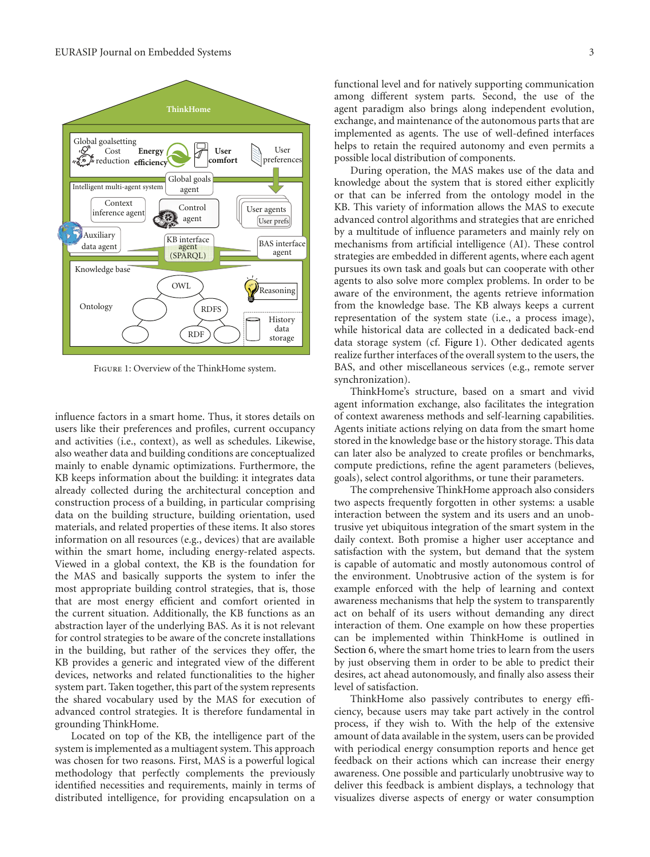

Figure 1: Overview of the ThinkHome system.

influence factors in a smart home. Thus, it stores details on users like their preferences and profiles, current occupancy and activities (i.e., context), as well as schedules. Likewise, also weather data and building conditions are conceptualized mainly to enable dynamic optimizations. Furthermore, the KB keeps information about the building: it integrates data already collected during the architectural conception and construction process of a building, in particular comprising data on the building structure, building orientation, used materials, and related properties of these items. It also stores information on all resources (e.g., devices) that are available within the smart home, including energy-related aspects. Viewed in a global context, the KB is the foundation for the MAS and basically supports the system to infer the most appropriate building control strategies, that is, those that are most energy efficient and comfort oriented in the current situation. Additionally, the KB functions as an abstraction layer of the underlying BAS. As it is not relevant for control strategies to be aware of the concrete installations in the building, but rather of the services they offer, the KB provides a generic and integrated view of the different devices, networks and related functionalities to the higher system part. Taken together, this part of the system represents the shared vocabulary used by the MAS for execution of advanced control strategies. It is therefore fundamental in grounding ThinkHome.

Located on top of the KB, the intelligence part of the system is implemented as a multiagent system. This approach was chosen for two reasons. First, MAS is a powerful logical methodology that perfectly complements the previously identified necessities and requirements, mainly in terms of distributed intelligence, for providing encapsulation on a

possible local distribution of components. During operation, the MAS makes use of the data and knowledge about the system that is stored either explicitly or that can be inferred from the ontology model in the KB. This variety of information allows the MAS to execute advanced control algorithms and strategies that are enriched by a multitude of influence parameters and mainly rely on mechanisms from artificial intelligence (AI). These control strategies are embedded in different agents, where each agent pursues its own task and goals but can cooperate with other agents to also solve more complex problems. In order to be aware of the environment, the agents retrieve information from the knowledge base. The KB always keeps a current representation of the system state (i.e., a process image), while historical data are collected in a dedicated back-end data storage system (cf. Figure 1). Other dedicated agents realize further interfaces of the overall system to the users, the BAS, and other miscellaneous services (e.g., remote server synchronization).

helps to retain the required autonomy and even permits a

ThinkHome's structure, based on a smart and vivid agent information exchange, also facilitates the integration of context awareness methods and self-learning capabilities. Agents initiate actions relying on data from the smart home stored in the knowledge base or the history storage. This data can later also be analyzed to create profiles or benchmarks, compute predictions, refine the agent parameters (believes, goals), select control algorithms, or tune their parameters.

The comprehensive ThinkHome approach also considers two aspects frequently forgotten in other systems: a usable interaction between the system and its users and an unobtrusive yet ubiquitous integration of the smart system in the daily context. Both promise a higher user acceptance and satisfaction with the system, but demand that the system is capable of automatic and mostly autonomous control of the environment. Unobtrusive action of the system is for example enforced with the help of learning and context awareness mechanisms that help the system to transparently act on behalf of its users without demanding any direct interaction of them. One example on how these properties can be implemented within ThinkHome is outlined in Section 6, where the smart home tries to learn from the users by just observing them in order to be able to predict their desires, act ahead autonomously, and finally also assess their level of satisfaction.

ThinkHome also passively contributes to energy efficiency, because users may take part actively in the control process, if they wish to. With the help of the extensive amount of data available in the system, users can be provided with periodical energy consumption reports and hence get feedback on their actions which can increase their energy awareness. One possible and particularly unobtrusive way to deliver this feedback is ambient displays, a technology that visualizes diverse aspects of energy or water consumption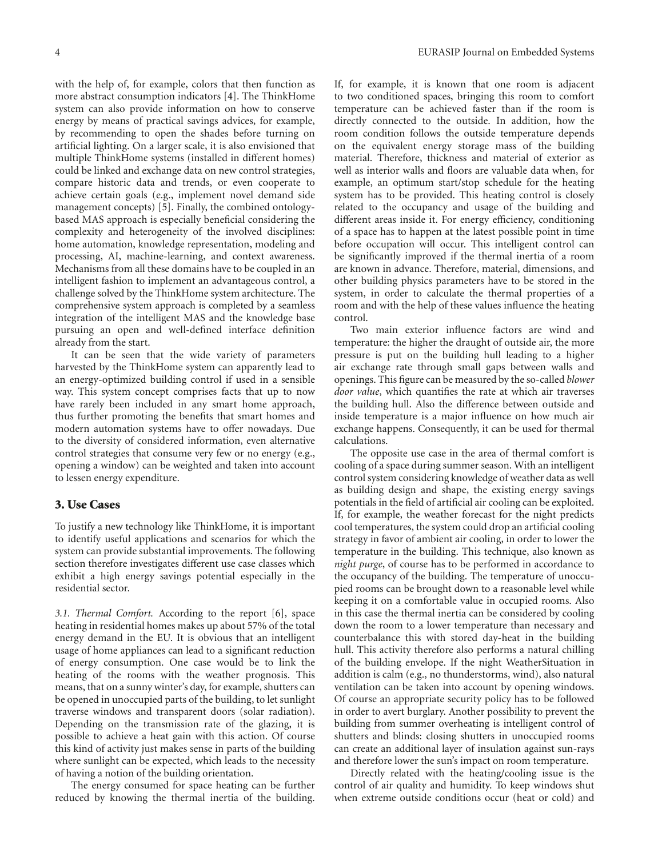with the help of, for example, colors that then function as more abstract consumption indicators [4]. The ThinkHome system can also provide information on how to conserve energy by means of practical savings advices, for example, by recommending to open the shades before turning on artificial lighting. On a larger scale, it is also envisioned that multiple ThinkHome systems (installed in different homes) could be linked and exchange data on new control strategies, compare historic data and trends, or even cooperate to achieve certain goals (e.g., implement novel demand side management concepts) [5]. Finally, the combined ontologybased MAS approach is especially beneficial considering the complexity and heterogeneity of the involved disciplines: home automation, knowledge representation, modeling and processing, AI, machine-learning, and context awareness. Mechanisms from all these domains have to be coupled in an intelligent fashion to implement an advantageous control, a challenge solved by the ThinkHome system architecture. The comprehensive system approach is completed by a seamless integration of the intelligent MAS and the knowledge base pursuing an open and well-defined interface definition already from the start.

It can be seen that the wide variety of parameters harvested by the ThinkHome system can apparently lead to an energy-optimized building control if used in a sensible way. This system concept comprises facts that up to now have rarely been included in any smart home approach, thus further promoting the benefits that smart homes and modern automation systems have to offer nowadays. Due to the diversity of considered information, even alternative control strategies that consume very few or no energy (e.g., opening a window) can be weighted and taken into account to lessen energy expenditure.

## **3. Use Cases**

To justify a new technology like ThinkHome, it is important to identify useful applications and scenarios for which the system can provide substantial improvements. The following section therefore investigates different use case classes which exhibit a high energy savings potential especially in the residential sector.

*3.1. Thermal Comfort.* According to the report [6], space heating in residential homes makes up about 57% of the total energy demand in the EU. It is obvious that an intelligent usage of home appliances can lead to a significant reduction of energy consumption. One case would be to link the heating of the rooms with the weather prognosis. This means, that on a sunny winter's day, for example, shutters can be opened in unoccupied parts of the building, to let sunlight traverse windows and transparent doors (solar radiation). Depending on the transmission rate of the glazing, it is possible to achieve a heat gain with this action. Of course this kind of activity just makes sense in parts of the building where sunlight can be expected, which leads to the necessity of having a notion of the building orientation.

The energy consumed for space heating can be further reduced by knowing the thermal inertia of the building.

If, for example, it is known that one room is adjacent to two conditioned spaces, bringing this room to comfort temperature can be achieved faster than if the room is directly connected to the outside. In addition, how the room condition follows the outside temperature depends on the equivalent energy storage mass of the building material. Therefore, thickness and material of exterior as well as interior walls and floors are valuable data when, for example, an optimum start/stop schedule for the heating system has to be provided. This heating control is closely related to the occupancy and usage of the building and different areas inside it. For energy efficiency, conditioning of a space has to happen at the latest possible point in time before occupation will occur. This intelligent control can be significantly improved if the thermal inertia of a room are known in advance. Therefore, material, dimensions, and other building physics parameters have to be stored in the system, in order to calculate the thermal properties of a room and with the help of these values influence the heating control.

Two main exterior influence factors are wind and temperature: the higher the draught of outside air, the more pressure is put on the building hull leading to a higher air exchange rate through small gaps between walls and openings. This figure can be measured by the so-called *blower door value*, which quantifies the rate at which air traverses the building hull. Also the difference between outside and inside temperature is a major influence on how much air exchange happens. Consequently, it can be used for thermal calculations.

The opposite use case in the area of thermal comfort is cooling of a space during summer season. With an intelligent control system considering knowledge of weather data as well as building design and shape, the existing energy savings potentials in the field of artificial air cooling can be exploited. If, for example, the weather forecast for the night predicts cool temperatures, the system could drop an artificial cooling strategy in favor of ambient air cooling, in order to lower the temperature in the building. This technique, also known as *night purge*, of course has to be performed in accordance to the occupancy of the building. The temperature of unoccupied rooms can be brought down to a reasonable level while keeping it on a comfortable value in occupied rooms. Also in this case the thermal inertia can be considered by cooling down the room to a lower temperature than necessary and counterbalance this with stored day-heat in the building hull. This activity therefore also performs a natural chilling of the building envelope. If the night WeatherSituation in addition is calm (e.g., no thunderstorms, wind), also natural ventilation can be taken into account by opening windows. Of course an appropriate security policy has to be followed in order to avert burglary. Another possibility to prevent the building from summer overheating is intelligent control of shutters and blinds: closing shutters in unoccupied rooms can create an additional layer of insulation against sun-rays and therefore lower the sun's impact on room temperature.

Directly related with the heating/cooling issue is the control of air quality and humidity. To keep windows shut when extreme outside conditions occur (heat or cold) and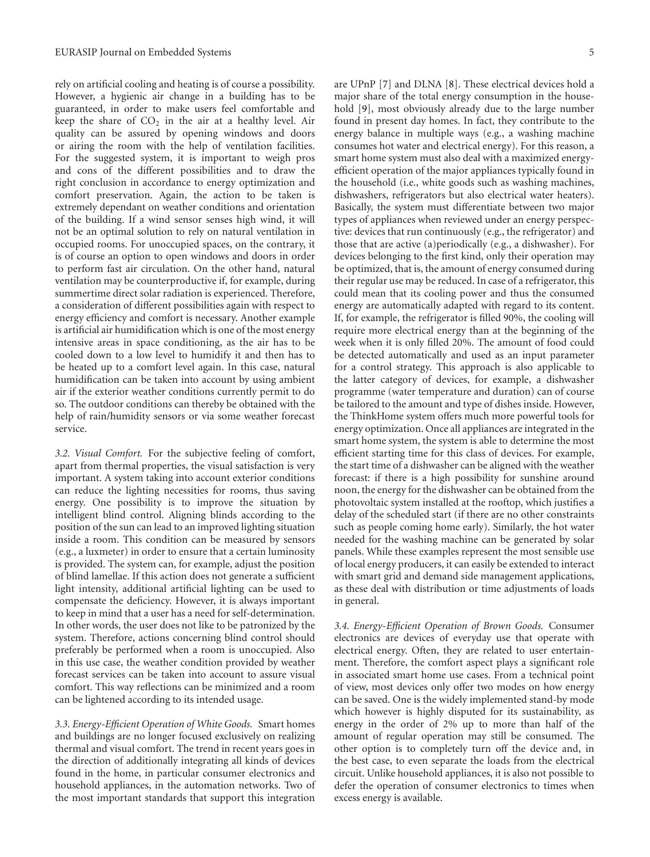rely on artificial cooling and heating is of course a possibility. However, a hygienic air change in a building has to be guaranteed, in order to make users feel comfortable and keep the share of  $CO<sub>2</sub>$  in the air at a healthy level. Air quality can be assured by opening windows and doors or airing the room with the help of ventilation facilities. For the suggested system, it is important to weigh pros and cons of the different possibilities and to draw the right conclusion in accordance to energy optimization and comfort preservation. Again, the action to be taken is extremely dependant on weather conditions and orientation of the building. If a wind sensor senses high wind, it will not be an optimal solution to rely on natural ventilation in occupied rooms. For unoccupied spaces, on the contrary, it is of course an option to open windows and doors in order to perform fast air circulation. On the other hand, natural ventilation may be counterproductive if, for example, during summertime direct solar radiation is experienced. Therefore, a consideration of different possibilities again with respect to energy efficiency and comfort is necessary. Another example is artificial air humidification which is one of the most energy intensive areas in space conditioning, as the air has to be cooled down to a low level to humidify it and then has to be heated up to a comfort level again. In this case, natural humidification can be taken into account by using ambient air if the exterior weather conditions currently permit to do so. The outdoor conditions can thereby be obtained with the help of rain/humidity sensors or via some weather forecast service.

*3.2. Visual Comfort.* For the subjective feeling of comfort, apart from thermal properties, the visual satisfaction is very important. A system taking into account exterior conditions can reduce the lighting necessities for rooms, thus saving energy. One possibility is to improve the situation by intelligent blind control. Aligning blinds according to the position of the sun can lead to an improved lighting situation inside a room. This condition can be measured by sensors (e.g., a luxmeter) in order to ensure that a certain luminosity is provided. The system can, for example, adjust the position of blind lamellae. If this action does not generate a sufficient light intensity, additional artificial lighting can be used to compensate the deficiency. However, it is always important to keep in mind that a user has a need for self-determination. In other words, the user does not like to be patronized by the system. Therefore, actions concerning blind control should preferably be performed when a room is unoccupied. Also in this use case, the weather condition provided by weather forecast services can be taken into account to assure visual comfort. This way reflections can be minimized and a room can be lightened according to its intended usage.

*3.3. Energy-Efficient Operation of White Goods.* Smart homes and buildings are no longer focused exclusively on realizing thermal and visual comfort. The trend in recent years goes in the direction of additionally integrating all kinds of devices found in the home, in particular consumer electronics and household appliances, in the automation networks. Two of the most important standards that support this integration are UPnP [7] and DLNA [8]. These electrical devices hold a major share of the total energy consumption in the household [9], most obviously already due to the large number found in present day homes. In fact, they contribute to the energy balance in multiple ways (e.g., a washing machine consumes hot water and electrical energy). For this reason, a smart home system must also deal with a maximized energyefficient operation of the major appliances typically found in the household (i.e., white goods such as washing machines, dishwashers, refrigerators but also electrical water heaters). Basically, the system must differentiate between two major types of appliances when reviewed under an energy perspective: devices that run continuously (e.g., the refrigerator) and those that are active (a)periodically (e.g., a dishwasher). For devices belonging to the first kind, only their operation may be optimized, that is, the amount of energy consumed during their regular use may be reduced. In case of a refrigerator, this could mean that its cooling power and thus the consumed energy are automatically adapted with regard to its content. If, for example, the refrigerator is filled 90%, the cooling will require more electrical energy than at the beginning of the week when it is only filled 20%. The amount of food could be detected automatically and used as an input parameter for a control strategy. This approach is also applicable to the latter category of devices, for example, a dishwasher programme (water temperature and duration) can of course be tailored to the amount and type of dishes inside. However, the ThinkHome system offers much more powerful tools for energy optimization. Once all appliances are integrated in the smart home system, the system is able to determine the most efficient starting time for this class of devices. For example, the start time of a dishwasher can be aligned with the weather forecast: if there is a high possibility for sunshine around noon, the energy for the dishwasher can be obtained from the photovoltaic system installed at the rooftop, which justifies a delay of the scheduled start (if there are no other constraints such as people coming home early). Similarly, the hot water needed for the washing machine can be generated by solar panels. While these examples represent the most sensible use of local energy producers, it can easily be extended to interact with smart grid and demand side management applications, as these deal with distribution or time adjustments of loads in general.

*3.4. Energy-Efficient Operation of Brown Goods.* Consumer electronics are devices of everyday use that operate with electrical energy. Often, they are related to user entertainment. Therefore, the comfort aspect plays a significant role in associated smart home use cases. From a technical point of view, most devices only offer two modes on how energy can be saved. One is the widely implemented stand-by mode which however is highly disputed for its sustainability, as energy in the order of 2% up to more than half of the amount of regular operation may still be consumed. The other option is to completely turn off the device and, in the best case, to even separate the loads from the electrical circuit. Unlike household appliances, it is also not possible to defer the operation of consumer electronics to times when excess energy is available.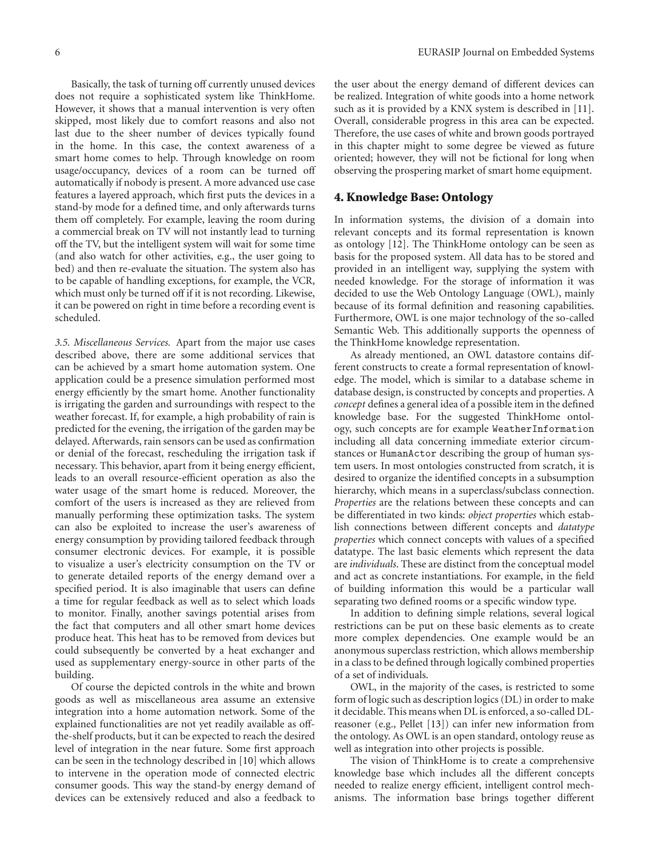Basically, the task of turning off currently unused devices does not require a sophisticated system like ThinkHome. However, it shows that a manual intervention is very often skipped, most likely due to comfort reasons and also not last due to the sheer number of devices typically found in the home. In this case, the context awareness of a smart home comes to help. Through knowledge on room usage/occupancy, devices of a room can be turned off automatically if nobody is present. A more advanced use case features a layered approach, which first puts the devices in a stand-by mode for a defined time, and only afterwards turns them off completely. For example, leaving the room during a commercial break on TV will not instantly lead to turning off the TV, but the intelligent system will wait for some time (and also watch for other activities, e.g., the user going to bed) and then re-evaluate the situation. The system also has to be capable of handling exceptions, for example, the VCR, which must only be turned off if it is not recording. Likewise, it can be powered on right in time before a recording event is scheduled.

*3.5. Miscellaneous Services.* Apart from the major use cases described above, there are some additional services that can be achieved by a smart home automation system. One application could be a presence simulation performed most energy efficiently by the smart home. Another functionality is irrigating the garden and surroundings with respect to the weather forecast. If, for example, a high probability of rain is predicted for the evening, the irrigation of the garden may be delayed. Afterwards, rain sensors can be used as confirmation or denial of the forecast, rescheduling the irrigation task if necessary. This behavior, apart from it being energy efficient, leads to an overall resource-efficient operation as also the water usage of the smart home is reduced. Moreover, the comfort of the users is increased as they are relieved from manually performing these optimization tasks. The system can also be exploited to increase the user's awareness of energy consumption by providing tailored feedback through consumer electronic devices. For example, it is possible to visualize a user's electricity consumption on the TV or to generate detailed reports of the energy demand over a specified period. It is also imaginable that users can define a time for regular feedback as well as to select which loads to monitor. Finally, another savings potential arises from the fact that computers and all other smart home devices produce heat. This heat has to be removed from devices but could subsequently be converted by a heat exchanger and used as supplementary energy-source in other parts of the building.

Of course the depicted controls in the white and brown goods as well as miscellaneous area assume an extensive integration into a home automation network. Some of the explained functionalities are not yet readily available as offthe-shelf products, but it can be expected to reach the desired level of integration in the near future. Some first approach can be seen in the technology described in [10] which allows to intervene in the operation mode of connected electric consumer goods. This way the stand-by energy demand of devices can be extensively reduced and also a feedback to

the user about the energy demand of different devices can be realized. Integration of white goods into a home network such as it is provided by a KNX system is described in [11]. Overall, considerable progress in this area can be expected. Therefore, the use cases of white and brown goods portrayed in this chapter might to some degree be viewed as future oriented; however, they will not be fictional for long when observing the prospering market of smart home equipment.

## **4. Knowledge Base: Ontology**

In information systems, the division of a domain into relevant concepts and its formal representation is known as ontology [12]. The ThinkHome ontology can be seen as basis for the proposed system. All data has to be stored and provided in an intelligent way, supplying the system with needed knowledge. For the storage of information it was decided to use the Web Ontology Language (OWL), mainly because of its formal definition and reasoning capabilities. Furthermore, OWL is one major technology of the so-called Semantic Web. This additionally supports the openness of the ThinkHome knowledge representation.

As already mentioned, an OWL datastore contains different constructs to create a formal representation of knowledge. The model, which is similar to a database scheme in database design, is constructed by concepts and properties. A *concept* defines a general idea of a possible item in the defined knowledge base. For the suggested ThinkHome ontology, such concepts are for example WeatherInformation including all data concerning immediate exterior circumstances or HumanActor describing the group of human system users. In most ontologies constructed from scratch, it is desired to organize the identified concepts in a subsumption hierarchy, which means in a superclass/subclass connection. *Properties* are the relations between these concepts and can be differentiated in two kinds: *object properties* which establish connections between different concepts and *datatype properties* which connect concepts with values of a specified datatype. The last basic elements which represent the data are *individuals*. These are distinct from the conceptual model and act as concrete instantiations. For example, in the field of building information this would be a particular wall separating two defined rooms or a specific window type.

In addition to defining simple relations, several logical restrictions can be put on these basic elements as to create more complex dependencies. One example would be an anonymous superclass restriction, which allows membership in a class to be defined through logically combined properties of a set of individuals.

OWL, in the majority of the cases, is restricted to some form of logic such as description logics (DL) in order to make it decidable. This means when DL is enforced, a so-called DLreasoner (e.g., Pellet [13]) can infer new information from the ontology. As OWL is an open standard, ontology reuse as well as integration into other projects is possible.

The vision of ThinkHome is to create a comprehensive knowledge base which includes all the different concepts needed to realize energy efficient, intelligent control mechanisms. The information base brings together different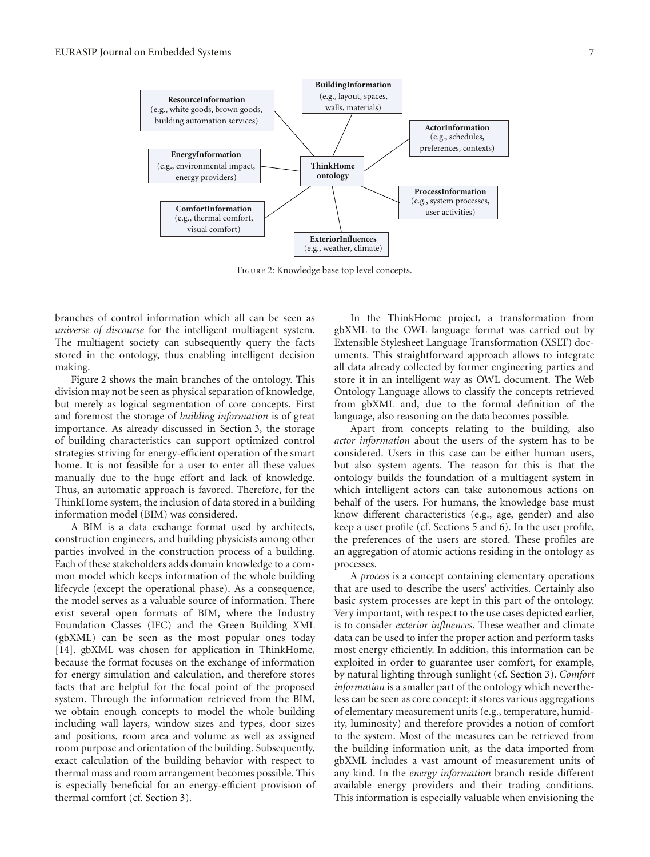

Figure 2: Knowledge base top level concepts.

branches of control information which all can be seen as *universe of discourse* for the intelligent multiagent system. The multiagent society can subsequently query the facts stored in the ontology, thus enabling intelligent decision making.

Figure 2 shows the main branches of the ontology. This division may not be seen as physical separation of knowledge, but merely as logical segmentation of core concepts. First and foremost the storage of *building information* is of great importance. As already discussed in Section 3, the storage of building characteristics can support optimized control strategies striving for energy-efficient operation of the smart home. It is not feasible for a user to enter all these values manually due to the huge effort and lack of knowledge. Thus, an automatic approach is favored. Therefore, for the ThinkHome system, the inclusion of data stored in a building information model (BIM) was considered.

A BIM is a data exchange format used by architects, construction engineers, and building physicists among other parties involved in the construction process of a building. Each of these stakeholders adds domain knowledge to a common model which keeps information of the whole building lifecycle (except the operational phase). As a consequence, the model serves as a valuable source of information. There exist several open formats of BIM, where the Industry Foundation Classes (IFC) and the Green Building XML (gbXML) can be seen as the most popular ones today [14]. gbXML was chosen for application in ThinkHome, because the format focuses on the exchange of information for energy simulation and calculation, and therefore stores facts that are helpful for the focal point of the proposed system. Through the information retrieved from the BIM, we obtain enough concepts to model the whole building including wall layers, window sizes and types, door sizes and positions, room area and volume as well as assigned room purpose and orientation of the building. Subsequently, exact calculation of the building behavior with respect to thermal mass and room arrangement becomes possible. This is especially beneficial for an energy-efficient provision of thermal comfort (cf. Section 3).

In the ThinkHome project, a transformation from gbXML to the OWL language format was carried out by Extensible Stylesheet Language Transformation (XSLT) documents. This straightforward approach allows to integrate all data already collected by former engineering parties and store it in an intelligent way as OWL document. The Web Ontology Language allows to classify the concepts retrieved from gbXML and, due to the formal definition of the language, also reasoning on the data becomes possible.

Apart from concepts relating to the building, also *actor information* about the users of the system has to be considered. Users in this case can be either human users, but also system agents. The reason for this is that the ontology builds the foundation of a multiagent system in which intelligent actors can take autonomous actions on behalf of the users. For humans, the knowledge base must know different characteristics (e.g., age, gender) and also keep a user profile (cf. Sections 5 and 6). In the user profile, the preferences of the users are stored. These profiles are an aggregation of atomic actions residing in the ontology as processes.

A *process* is a concept containing elementary operations that are used to describe the users' activities. Certainly also basic system processes are kept in this part of the ontology. Very important, with respect to the use cases depicted earlier, is to consider *exterior influences*. These weather and climate data can be used to infer the proper action and perform tasks most energy efficiently. In addition, this information can be exploited in order to guarantee user comfort, for example, by natural lighting through sunlight (cf. Section 3). *Comfort information* is a smaller part of the ontology which nevertheless can be seen as core concept: it stores various aggregations of elementary measurement units (e.g., temperature, humidity, luminosity) and therefore provides a notion of comfort to the system. Most of the measures can be retrieved from the building information unit, as the data imported from gbXML includes a vast amount of measurement units of any kind. In the *energy information* branch reside different available energy providers and their trading conditions. This information is especially valuable when envisioning the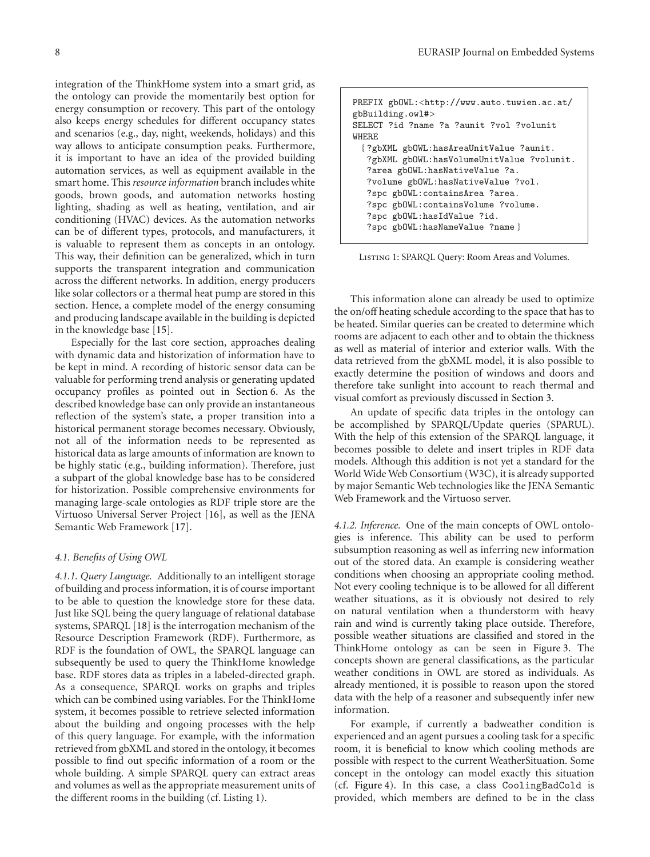integration of the ThinkHome system into a smart grid, as the ontology can provide the momentarily best option for energy consumption or recovery. This part of the ontology also keeps energy schedules for different occupancy states and scenarios (e.g., day, night, weekends, holidays) and this way allows to anticipate consumption peaks. Furthermore, it is important to have an idea of the provided building automation services, as well as equipment available in the smart home. This *resource information* branch includes white goods, brown goods, and automation networks hosting lighting, shading as well as heating, ventilation, and air conditioning (HVAC) devices. As the automation networks can be of different types, protocols, and manufacturers, it is valuable to represent them as concepts in an ontology. This way, their definition can be generalized, which in turn supports the transparent integration and communication across the different networks. In addition, energy producers like solar collectors or a thermal heat pump are stored in this section. Hence, a complete model of the energy consuming and producing landscape available in the building is depicted in the knowledge base [15].

Especially for the last core section, approaches dealing with dynamic data and historization of information have to be kept in mind. A recording of historic sensor data can be valuable for performing trend analysis or generating updated occupancy profiles as pointed out in Section 6. As the described knowledge base can only provide an instantaneous reflection of the system's state, a proper transition into a historical permanent storage becomes necessary. Obviously, not all of the information needs to be represented as historical data as large amounts of information are known to be highly static (e.g., building information). Therefore, just a subpart of the global knowledge base has to be considered for historization. Possible comprehensive environments for managing large-scale ontologies as RDF triple store are the Virtuoso Universal Server Project [16], as well as the JENA Semantic Web Framework [17].

#### *4.1. Benefits of Using OWL*

*4.1.1. Query Language.* Additionally to an intelligent storage of building and process information, it is of course important to be able to question the knowledge store for these data. Just like SQL being the query language of relational database systems, SPARQL [18] is the interrogation mechanism of the Resource Description Framework (RDF). Furthermore, as RDF is the foundation of OWL, the SPARQL language can subsequently be used to query the ThinkHome knowledge base. RDF stores data as triples in a labeled-directed graph. As a consequence, SPARQL works on graphs and triples which can be combined using variables. For the ThinkHome system, it becomes possible to retrieve selected information about the building and ongoing processes with the help of this query language. For example, with the information retrieved from gbXML and stored in the ontology, it becomes possible to find out specific information of a room or the whole building. A simple SPARQL query can extract areas and volumes as well as the appropriate measurement units of the different rooms in the building (cf. Listing 1).

| PREFIX gbOWL: <http: <br="" www.auto.tuwien.ac.at="">gbBuilding.owl#&gt;</http:> |
|----------------------------------------------------------------------------------|
| SELECT ?id ?name ?a ?aunit ?vol ?volunit                                         |
| WHERE.                                                                           |
| { ?gbXML gbOWL:hasAreaUnitValue ?aunit.                                          |
| ?gbXML gbOWL:hasVolumeUnitValue ?volunit.                                        |
| ?area gbOWL:hasNativeValue ?a.                                                   |
| ?volume gbOWL:hasNativeValue ?vol.                                               |
| ?spc gbOWL: containsArea ?area.                                                  |
| ?spc gbOWL: containsVolume ?volume.                                              |
| ?spc gbOWL:hasIdValue ?id.                                                       |
| ?spc gbOWL:hasNameValue ?name }                                                  |

Listing 1: SPARQL Query: Room Areas and Volumes.

This information alone can already be used to optimize the on/off heating schedule according to the space that has to be heated. Similar queries can be created to determine which rooms are adjacent to each other and to obtain the thickness as well as material of interior and exterior walls. With the data retrieved from the gbXML model, it is also possible to exactly determine the position of windows and doors and therefore take sunlight into account to reach thermal and visual comfort as previously discussed in Section 3.

An update of specific data triples in the ontology can be accomplished by SPARQL/Update queries (SPARUL). With the help of this extension of the SPARQL language, it becomes possible to delete and insert triples in RDF data models. Although this addition is not yet a standard for the World Wide Web Consortium (W3C), it is already supported by major Semantic Web technologies like the JENA Semantic Web Framework and the Virtuoso server.

*4.1.2. Inference.* One of the main concepts of OWL ontologies is inference. This ability can be used to perform subsumption reasoning as well as inferring new information out of the stored data. An example is considering weather conditions when choosing an appropriate cooling method. Not every cooling technique is to be allowed for all different weather situations, as it is obviously not desired to rely on natural ventilation when a thunderstorm with heavy rain and wind is currently taking place outside. Therefore, possible weather situations are classified and stored in the ThinkHome ontology as can be seen in Figure 3. The concepts shown are general classifications, as the particular weather conditions in OWL are stored as individuals. As already mentioned, it is possible to reason upon the stored data with the help of a reasoner and subsequently infer new information.

For example, if currently a badweather condition is experienced and an agent pursues a cooling task for a specific room, it is beneficial to know which cooling methods are possible with respect to the current WeatherSituation. Some concept in the ontology can model exactly this situation (cf. Figure 4). In this case, a class CoolingBadCold is provided, which members are defined to be in the class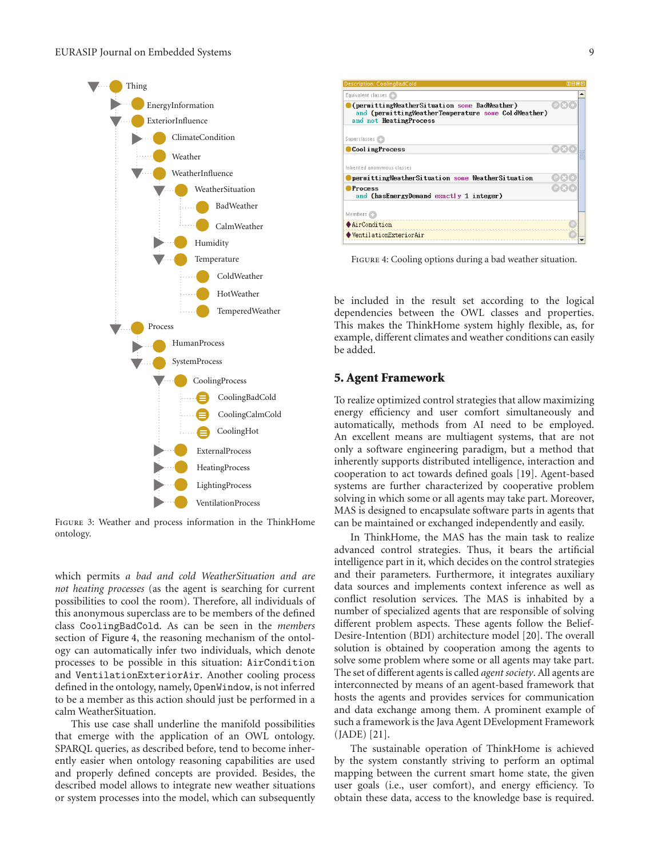

Figure 3: Weather and process information in the ThinkHome ontology.

which permits *a bad and cold WeatherSituation and are not heating processes* (as the agent is searching for current possibilities to cool the room). Therefore, all individuals of this anonymous superclass are to be members of the defined class CoolingBadCold. As can be seen in the *members* section of Figure 4, the reasoning mechanism of the ontology can automatically infer two individuals, which denote processes to be possible in this situation: AirCondition and VentilationExteriorAir. Another cooling process defined in the ontology, namely, OpenWindow, is not inferred to be a member as this action should just be performed in a calm WeatherSituation.

This use case shall underline the manifold possibilities that emerge with the application of an OWL ontology. SPARQL queries, as described before, tend to become inherently easier when ontology reasoning capabilities are used and properly defined concepts are provided. Besides, the described model allows to integrate new weather situations or system processes into the model, which can subsequently

| <b>Description: CoolingBadCold</b>                                                                                               |  |
|----------------------------------------------------------------------------------------------------------------------------------|--|
| Equivalent classes                                                                                                               |  |
| (permittingWeatherSituation some BadWeather)<br>and (permitting Weather Temperature some Cold Weather)<br>and not HeatingProcess |  |
| Superclasses (1)                                                                                                                 |  |
| CoolingProcess                                                                                                                   |  |
| Inherited anonymous classes                                                                                                      |  |
| permittingWeatherSituation some WeatherSituation                                                                                 |  |
| Process<br>and (hasEnergyDemand exactly 1 integer)                                                                               |  |
| Members (                                                                                                                        |  |
| AirCondition                                                                                                                     |  |

Figure 4: Cooling options during a bad weather situation.

be included in the result set according to the logical dependencies between the OWL classes and properties. This makes the ThinkHome system highly flexible, as, for example, different climates and weather conditions can easily be added.

#### **5. Agent Framework**

To realize optimized control strategies that allow maximizing energy efficiency and user comfort simultaneously and automatically, methods from AI need to be employed. An excellent means are multiagent systems, that are not only a software engineering paradigm, but a method that inherently supports distributed intelligence, interaction and cooperation to act towards defined goals [19]. Agent-based systems are further characterized by cooperative problem solving in which some or all agents may take part. Moreover, MAS is designed to encapsulate software parts in agents that can be maintained or exchanged independently and easily.

In ThinkHome, the MAS has the main task to realize advanced control strategies. Thus, it bears the artificial intelligence part in it, which decides on the control strategies and their parameters. Furthermore, it integrates auxiliary data sources and implements context inference as well as conflict resolution services. The MAS is inhabited by a number of specialized agents that are responsible of solving different problem aspects. These agents follow the Belief-Desire-Intention (BDI) architecture model [20]. The overall solution is obtained by cooperation among the agents to solve some problem where some or all agents may take part. The set of different agents is called *agent society*. All agents are interconnected by means of an agent-based framework that hosts the agents and provides services for communication and data exchange among them. A prominent example of such a framework is the Java Agent DEvelopment Framework (JADE) [21].

The sustainable operation of ThinkHome is achieved by the system constantly striving to perform an optimal mapping between the current smart home state, the given user goals (i.e., user comfort), and energy efficiency. To obtain these data, access to the knowledge base is required.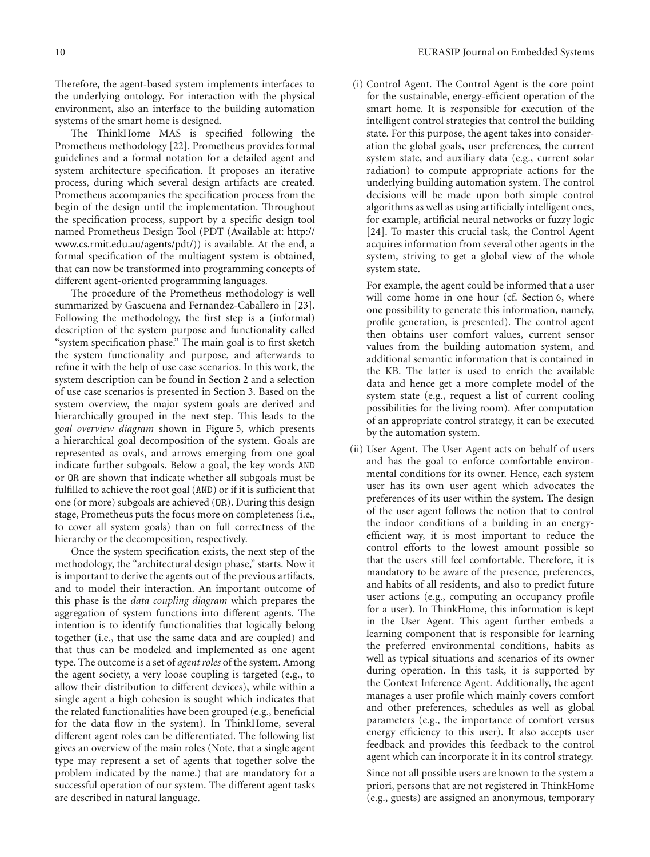Therefore, the agent-based system implements interfaces to the underlying ontology. For interaction with the physical environment, also an interface to the building automation systems of the smart home is designed.

The ThinkHome MAS is specified following the Prometheus methodology [22]. Prometheus provides formal guidelines and a formal notation for a detailed agent and system architecture specification. It proposes an iterative process, during which several design artifacts are created. Prometheus accompanies the specification process from the begin of the design until the implementation. Throughout the specification process, support by a specific design tool named Prometheus Design Tool (PDT (Available at: http:// www.cs.rmit.edu.au/agents/pdt/)) is available. At the end, a formal specification of the multiagent system is obtained, that can now be transformed into programming concepts of different agent-oriented programming languages.

The procedure of the Prometheus methodology is well summarized by Gascuena and Fernandez-Caballero in [23]. Following the methodology, the first step is a (informal) description of the system purpose and functionality called "system specification phase." The main goal is to first sketch the system functionality and purpose, and afterwards to refine it with the help of use case scenarios. In this work, the system description can be found in Section 2 and a selection of use case scenarios is presented in Section 3. Based on the system overview, the major system goals are derived and hierarchically grouped in the next step. This leads to the *goal overview diagram* shown in Figure 5, which presents a hierarchical goal decomposition of the system. Goals are represented as ovals, and arrows emerging from one goal indicate further subgoals. Below a goal, the key words AND or OR are shown that indicate whether all subgoals must be fulfilled to achieve the root goal (AND) or if it is sufficient that one (or more) subgoals are achieved (OR). During this design stage, Prometheus puts the focus more on completeness (i.e., to cover all system goals) than on full correctness of the hierarchy or the decomposition, respectively.

Once the system specification exists, the next step of the methodology, the "architectural design phase," starts. Now it is important to derive the agents out of the previous artifacts, and to model their interaction. An important outcome of this phase is the *data coupling diagram* which prepares the aggregation of system functions into different agents. The intention is to identify functionalities that logically belong together (i.e., that use the same data and are coupled) and that thus can be modeled and implemented as one agent type. The outcome is a set of *agent roles* of the system. Among the agent society, a very loose coupling is targeted (e.g., to allow their distribution to different devices), while within a single agent a high cohesion is sought which indicates that the related functionalities have been grouped (e.g., beneficial for the data flow in the system). In ThinkHome, several different agent roles can be differentiated. The following list gives an overview of the main roles (Note, that a single agent type may represent a set of agents that together solve the problem indicated by the name.) that are mandatory for a successful operation of our system. The different agent tasks are described in natural language.

(i) Control Agent. The Control Agent is the core point for the sustainable, energy-efficient operation of the smart home. It is responsible for execution of the intelligent control strategies that control the building state. For this purpose, the agent takes into consideration the global goals, user preferences, the current system state, and auxiliary data (e.g., current solar radiation) to compute appropriate actions for the underlying building automation system. The control decisions will be made upon both simple control algorithms as well as using artificially intelligent ones, for example, artificial neural networks or fuzzy logic [24]. To master this crucial task, the Control Agent acquires information from several other agents in the system, striving to get a global view of the whole system state.

For example, the agent could be informed that a user will come home in one hour (cf. Section 6, where one possibility to generate this information, namely, profile generation, is presented). The control agent then obtains user comfort values, current sensor values from the building automation system, and additional semantic information that is contained in the KB. The latter is used to enrich the available data and hence get a more complete model of the system state (e.g., request a list of current cooling possibilities for the living room). After computation of an appropriate control strategy, it can be executed by the automation system.

(ii) User Agent. The User Agent acts on behalf of users and has the goal to enforce comfortable environmental conditions for its owner. Hence, each system user has its own user agent which advocates the preferences of its user within the system. The design of the user agent follows the notion that to control the indoor conditions of a building in an energyefficient way, it is most important to reduce the control efforts to the lowest amount possible so that the users still feel comfortable. Therefore, it is mandatory to be aware of the presence, preferences, and habits of all residents, and also to predict future user actions (e.g., computing an occupancy profile for a user). In ThinkHome, this information is kept in the User Agent. This agent further embeds a learning component that is responsible for learning the preferred environmental conditions, habits as well as typical situations and scenarios of its owner during operation. In this task, it is supported by the Context Inference Agent. Additionally, the agent manages a user profile which mainly covers comfort and other preferences, schedules as well as global parameters (e.g., the importance of comfort versus energy efficiency to this user). It also accepts user feedback and provides this feedback to the control agent which can incorporate it in its control strategy.

Since not all possible users are known to the system a priori, persons that are not registered in ThinkHome (e.g., guests) are assigned an anonymous, temporary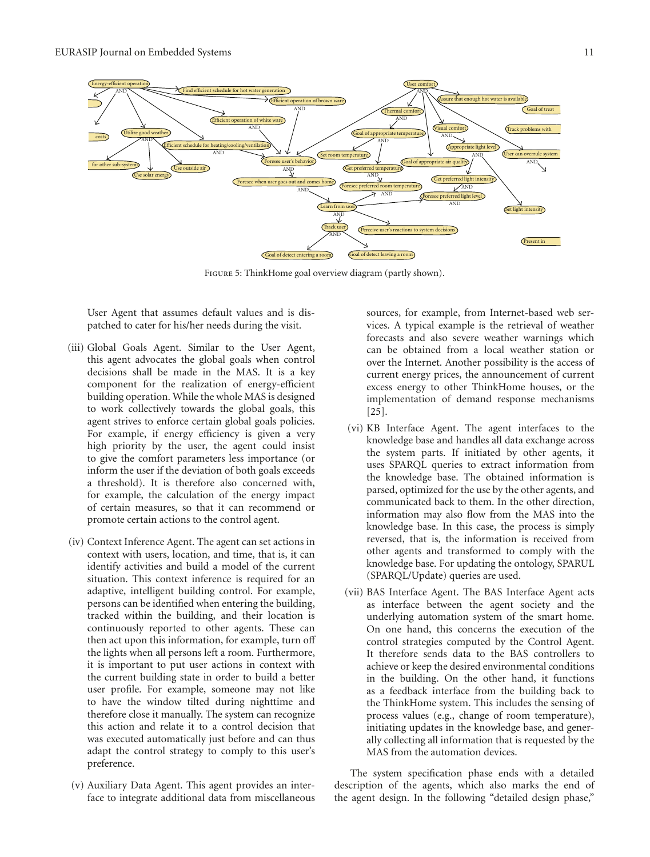

Figure 5: ThinkHome goal overview diagram (partly shown).

User Agent that assumes default values and is dispatched to cater for his/her needs during the visit.

- (iii) Global Goals Agent. Similar to the User Agent, this agent advocates the global goals when control decisions shall be made in the MAS. It is a key component for the realization of energy-efficient building operation. While the whole MAS is designed to work collectively towards the global goals, this agent strives to enforce certain global goals policies. For example, if energy efficiency is given a very high priority by the user, the agent could insist to give the comfort parameters less importance (or inform the user if the deviation of both goals exceeds a threshold). It is therefore also concerned with, for example, the calculation of the energy impact of certain measures, so that it can recommend or promote certain actions to the control agent.
- (iv) Context Inference Agent. The agent can set actions in context with users, location, and time, that is, it can identify activities and build a model of the current situation. This context inference is required for an adaptive, intelligent building control. For example, persons can be identified when entering the building, tracked within the building, and their location is continuously reported to other agents. These can then act upon this information, for example, turn off the lights when all persons left a room. Furthermore, it is important to put user actions in context with the current building state in order to build a better user profile. For example, someone may not like to have the window tilted during nighttime and therefore close it manually. The system can recognize this action and relate it to a control decision that was executed automatically just before and can thus adapt the control strategy to comply to this user's preference.
- (v) Auxiliary Data Agent. This agent provides an interface to integrate additional data from miscellaneous

sources, for example, from Internet-based web services. A typical example is the retrieval of weather forecasts and also severe weather warnings which can be obtained from a local weather station or over the Internet. Another possibility is the access of current energy prices, the announcement of current excess energy to other ThinkHome houses, or the implementation of demand response mechanisms [25].

- (vi) KB Interface Agent. The agent interfaces to the knowledge base and handles all data exchange across the system parts. If initiated by other agents, it uses SPARQL queries to extract information from the knowledge base. The obtained information is parsed, optimized for the use by the other agents, and communicated back to them. In the other direction, information may also flow from the MAS into the knowledge base. In this case, the process is simply reversed, that is, the information is received from other agents and transformed to comply with the knowledge base. For updating the ontology, SPARUL (SPARQL/Update) queries are used.
- (vii) BAS Interface Agent. The BAS Interface Agent acts as interface between the agent society and the underlying automation system of the smart home. On one hand, this concerns the execution of the control strategies computed by the Control Agent. It therefore sends data to the BAS controllers to achieve or keep the desired environmental conditions in the building. On the other hand, it functions as a feedback interface from the building back to the ThinkHome system. This includes the sensing of process values (e.g., change of room temperature), initiating updates in the knowledge base, and generally collecting all information that is requested by the MAS from the automation devices.

The system specification phase ends with a detailed description of the agents, which also marks the end of the agent design. In the following "detailed design phase,"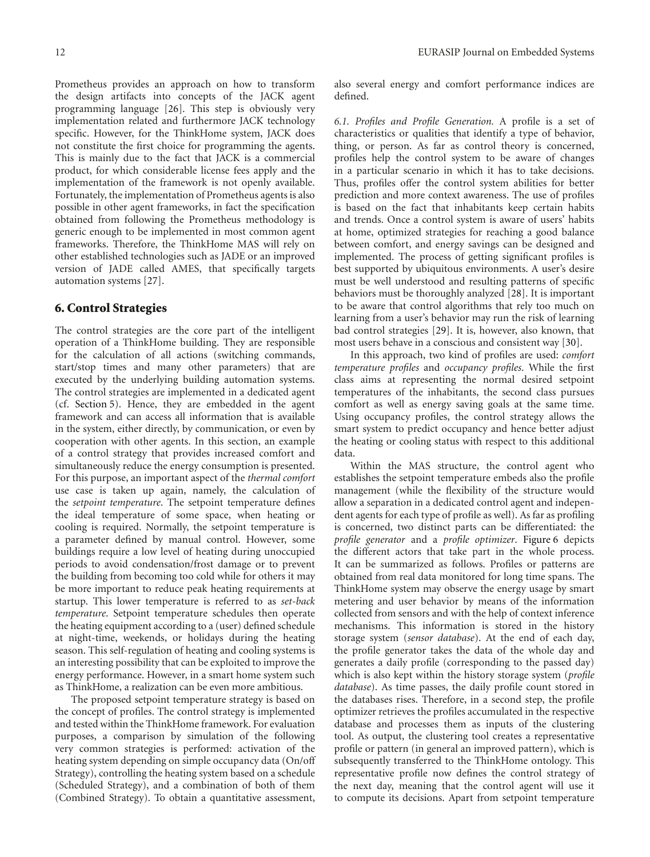Prometheus provides an approach on how to transform the design artifacts into concepts of the JACK agent programming language [26]. This step is obviously very implementation related and furthermore JACK technology specific. However, for the ThinkHome system, JACK does not constitute the first choice for programming the agents. This is mainly due to the fact that JACK is a commercial product, for which considerable license fees apply and the implementation of the framework is not openly available. Fortunately, the implementation of Prometheus agents is also possible in other agent frameworks, in fact the specification obtained from following the Prometheus methodology is generic enough to be implemented in most common agent frameworks. Therefore, the ThinkHome MAS will rely on other established technologies such as JADE or an improved version of JADE called AMES, that specifically targets automation systems [27].

## **6. Control Strategies**

The control strategies are the core part of the intelligent operation of a ThinkHome building. They are responsible for the calculation of all actions (switching commands, start/stop times and many other parameters) that are executed by the underlying building automation systems. The control strategies are implemented in a dedicated agent (cf. Section 5). Hence, they are embedded in the agent framework and can access all information that is available in the system, either directly, by communication, or even by cooperation with other agents. In this section, an example of a control strategy that provides increased comfort and simultaneously reduce the energy consumption is presented. For this purpose, an important aspect of the *thermal comfort* use case is taken up again, namely, the calculation of the *setpoint temperature*. The setpoint temperature defines the ideal temperature of some space, when heating or cooling is required. Normally, the setpoint temperature is a parameter defined by manual control. However, some buildings require a low level of heating during unoccupied periods to avoid condensation/frost damage or to prevent the building from becoming too cold while for others it may be more important to reduce peak heating requirements at startup. This lower temperature is referred to as *set-back temperature*. Setpoint temperature schedules then operate the heating equipment according to a (user) defined schedule at night-time, weekends, or holidays during the heating season. This self-regulation of heating and cooling systems is an interesting possibility that can be exploited to improve the energy performance. However, in a smart home system such as ThinkHome, a realization can be even more ambitious.

The proposed setpoint temperature strategy is based on the concept of profiles. The control strategy is implemented and tested within the ThinkHome framework. For evaluation purposes, a comparison by simulation of the following very common strategies is performed: activation of the heating system depending on simple occupancy data (On/off Strategy), controlling the heating system based on a schedule (Scheduled Strategy), and a combination of both of them (Combined Strategy). To obtain a quantitative assessment,

also several energy and comfort performance indices are defined.

*6.1. Profiles and Profile Generation.* A profile is a set of characteristics or qualities that identify a type of behavior, thing, or person. As far as control theory is concerned, profiles help the control system to be aware of changes in a particular scenario in which it has to take decisions. Thus, profiles offer the control system abilities for better prediction and more context awareness. The use of profiles is based on the fact that inhabitants keep certain habits and trends. Once a control system is aware of users' habits at home, optimized strategies for reaching a good balance between comfort, and energy savings can be designed and implemented. The process of getting significant profiles is best supported by ubiquitous environments. A user's desire must be well understood and resulting patterns of specific behaviors must be thoroughly analyzed [28]. It is important to be aware that control algorithms that rely too much on learning from a user's behavior may run the risk of learning bad control strategies [29]. It is, however, also known, that most users behave in a conscious and consistent way [30].

In this approach, two kind of profiles are used: *comfort temperature profiles* and *occupancy profiles*. While the first class aims at representing the normal desired setpoint temperatures of the inhabitants, the second class pursues comfort as well as energy saving goals at the same time. Using occupancy profiles, the control strategy allows the smart system to predict occupancy and hence better adjust the heating or cooling status with respect to this additional data.

Within the MAS structure, the control agent who establishes the setpoint temperature embeds also the profile management (while the flexibility of the structure would allow a separation in a dedicated control agent and independent agents for each type of profile as well). As far as profiling is concerned, two distinct parts can be differentiated: the *profile generator* and a *profile optimizer*. Figure 6 depicts the different actors that take part in the whole process. It can be summarized as follows. Profiles or patterns are obtained from real data monitored for long time spans. The ThinkHome system may observe the energy usage by smart metering and user behavior by means of the information collected from sensors and with the help of context inference mechanisms. This information is stored in the history storage system (*sensor database*). At the end of each day, the profile generator takes the data of the whole day and generates a daily profile (corresponding to the passed day) which is also kept within the history storage system (*profile database*). As time passes, the daily profile count stored in the databases rises. Therefore, in a second step, the profile optimizer retrieves the profiles accumulated in the respective database and processes them as inputs of the clustering tool. As output, the clustering tool creates a representative profile or pattern (in general an improved pattern), which is subsequently transferred to the ThinkHome ontology. This representative profile now defines the control strategy of the next day, meaning that the control agent will use it to compute its decisions. Apart from setpoint temperature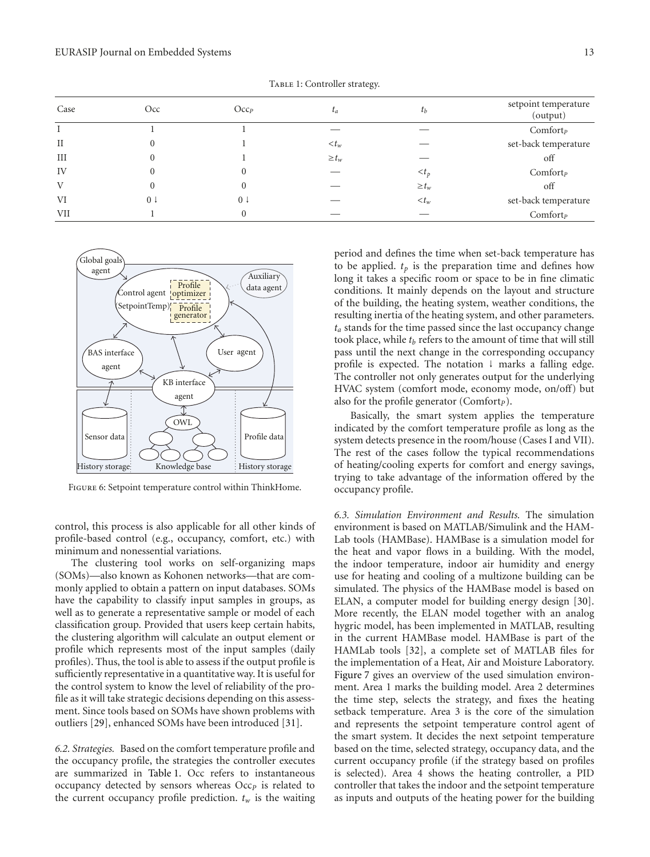| Case        | Occ            | Occ <sub>p</sub> | $t_a$      | $t_b$        | setpoint temperature<br>(output) |
|-------------|----------------|------------------|------------|--------------|----------------------------------|
|             |                |                  |            |              | $Comfort_{P}$                    |
| $_{\rm II}$ |                |                  | $\lt t_w$  |              | set-back temperature             |
| III         |                |                  | $\geq t_w$ |              | off                              |
| IV          |                |                  |            | $< t_p$      | $Comfort_{P}$                    |
| V           |                |                  |            | $\geq t_{w}$ | off                              |
| VI          | 0 <sup>1</sup> | 0 <sup>1</sup>   |            | $< t_w$      | set-back temperature             |
| <b>VII</b>  |                |                  |            |              | $Comfort_{P}$                    |
|             |                |                  |            |              |                                  |



Figure 6: Setpoint temperature control within ThinkHome.

control, this process is also applicable for all other kinds of profile-based control (e.g., occupancy, comfort, etc.) with minimum and nonessential variations.

The clustering tool works on self-organizing maps (SOMs)—also known as Kohonen networks—that are commonly applied to obtain a pattern on input databases. SOMs have the capability to classify input samples in groups, as well as to generate a representative sample or model of each classification group. Provided that users keep certain habits, the clustering algorithm will calculate an output element or profile which represents most of the input samples (daily profiles). Thus, the tool is able to assess if the output profile is sufficiently representative in a quantitative way. It is useful for the control system to know the level of reliability of the profile as it will take strategic decisions depending on this assessment. Since tools based on SOMs have shown problems with outliers [29], enhanced SOMs have been introduced [31].

*6.2. Strategies.* Based on the comfort temperature profile and the occupancy profile, the strategies the controller executes are summarized in Table 1. Occ refers to instantaneous occupancy detected by sensors whereas Occ<sub>p</sub> is related to the current occupancy profile prediction.  $t_w$  is the waiting period and defines the time when set-back temperature has to be applied.  $t_p$  is the preparation time and defines how long it takes a specific room or space to be in fine climatic conditions. It mainly depends on the layout and structure of the building, the heating system, weather conditions, the resulting inertia of the heating system, and other parameters. *ta* stands for the time passed since the last occupancy change took place, while *tb* refers to the amount of time that will still pass until the next change in the corresponding occupancy profile is expected. The notation ↓ marks a falling edge. The controller not only generates output for the underlying HVAC system (comfort mode, economy mode, on/off) but also for the profile generator (Comfort*P*).

Basically, the smart system applies the temperature indicated by the comfort temperature profile as long as the system detects presence in the room/house (Cases I and VII). The rest of the cases follow the typical recommendations of heating/cooling experts for comfort and energy savings, trying to take advantage of the information offered by the occupancy profile.

*6.3. Simulation Environment and Results.* The simulation environment is based on MATLAB/Simulink and the HAM-Lab tools (HAMBase). HAMBase is a simulation model for the heat and vapor flows in a building. With the model, the indoor temperature, indoor air humidity and energy use for heating and cooling of a multizone building can be simulated. The physics of the HAMBase model is based on ELAN, a computer model for building energy design [30]. More recently, the ELAN model together with an analog hygric model, has been implemented in MATLAB, resulting in the current HAMBase model. HAMBase is part of the HAMLab tools [32], a complete set of MATLAB files for the implementation of a Heat, Air and Moisture Laboratory. Figure 7 gives an overview of the used simulation environment. Area 1 marks the building model. Area 2 determines the time step, selects the strategy, and fixes the heating setback temperature. Area 3 is the core of the simulation and represents the setpoint temperature control agent of the smart system. It decides the next setpoint temperature based on the time, selected strategy, occupancy data, and the current occupancy profile (if the strategy based on profiles is selected). Area 4 shows the heating controller, a PID controller that takes the indoor and the setpoint temperature as inputs and outputs of the heating power for the building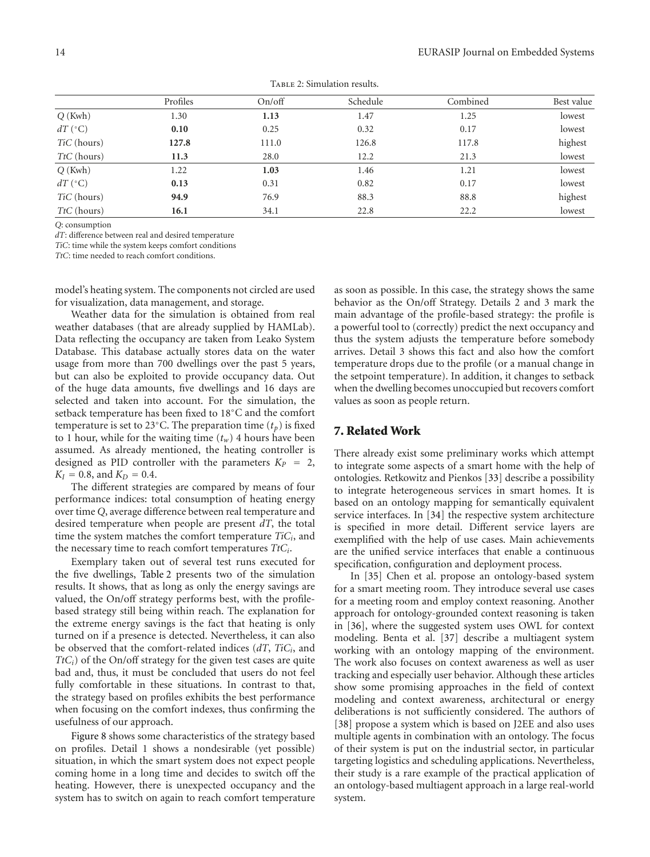|                          | Profiles | On/off | Schedule | Combined | Best value |
|--------------------------|----------|--------|----------|----------|------------|
| Q(Kwh)                   | 1.30     | 1.13   | 1.47     | 1.25     | lowest     |
| $dT$ ( $^{\circ}$ C)     | 0.10     | 0.25   | 0.32     | 0.17     | lowest     |
| $TiC$ (hours)            | 127.8    | 111.0  | 126.8    | 117.8    | highest    |
| TtC (hours)              | 11.3     | 28.0   | 12.2     | 21.3     | lowest     |
| Q(Kwh)                   | 1.22     | 1.03   | 1.46     | 1.21     | lowest     |
| $dT$ ( $^{\circ}$ C)     | 0.13     | 0.31   | 0.82     | 0.17     | lowest     |
| $TiC$ (hours)            | 94.9     | 76.9   | 88.3     | 88.8     | highest    |
| T <sub>t</sub> C (hours) | 16.1     | 34.1   | 22.8     | 22.2     | lowest     |

Table 2: Simulation results.

*Q*: consumption

*dT*: difference between real and desired temperature

*TiC*: time while the system keeps comfort conditions

*TtC*: time needed to reach comfort conditions.

model's heating system. The components not circled are used for visualization, data management, and storage.

Weather data for the simulation is obtained from real weather databases (that are already supplied by HAMLab). Data reflecting the occupancy are taken from Leako System Database. This database actually stores data on the water usage from more than 700 dwellings over the past 5 years, but can also be exploited to provide occupancy data. Out of the huge data amounts, five dwellings and 16 days are selected and taken into account. For the simulation, the setback temperature has been fixed to 18◦C and the comfort temperature is set to 23 $^{\circ}$ C. The preparation time ( $t<sub>p</sub>$ ) is fixed to 1 hour, while for the waiting time  $(t_w)$  4 hours have been assumed. As already mentioned, the heating controller is designed as PID controller with the parameters  $K_P = 2$ ,  $K_I = 0.8$ , and  $K_D = 0.4$ .

The different strategies are compared by means of four performance indices: total consumption of heating energy over time *Q*, average difference between real temperature and desired temperature when people are present *dT*, the total time the system matches the comfort temperature *TiCi*, and the necessary time to reach comfort temperatures *TtCi*.

Exemplary taken out of several test runs executed for the five dwellings, Table 2 presents two of the simulation results. It shows, that as long as only the energy savings are valued, the On/off strategy performs best, with the profilebased strategy still being within reach. The explanation for the extreme energy savings is the fact that heating is only turned on if a presence is detected. Nevertheless, it can also be observed that the comfort-related indices (*dT*, *TiCi*, and *TtCi*) of the On/off strategy for the given test cases are quite bad and, thus, it must be concluded that users do not feel fully comfortable in these situations. In contrast to that, the strategy based on profiles exhibits the best performance when focusing on the comfort indexes, thus confirming the usefulness of our approach.

Figure 8 shows some characteristics of the strategy based on profiles. Detail 1 shows a nondesirable (yet possible) situation, in which the smart system does not expect people coming home in a long time and decides to switch off the heating. However, there is unexpected occupancy and the system has to switch on again to reach comfort temperature

as soon as possible. In this case, the strategy shows the same behavior as the On/off Strategy. Details 2 and 3 mark the main advantage of the profile-based strategy: the profile is a powerful tool to (correctly) predict the next occupancy and thus the system adjusts the temperature before somebody arrives. Detail 3 shows this fact and also how the comfort temperature drops due to the profile (or a manual change in the setpoint temperature). In addition, it changes to setback when the dwelling becomes unoccupied but recovers comfort values as soon as people return.

## **7. Related Work**

There already exist some preliminary works which attempt to integrate some aspects of a smart home with the help of ontologies. Retkowitz and Pienkos [33] describe a possibility to integrate heterogeneous services in smart homes. It is based on an ontology mapping for semantically equivalent service interfaces. In [34] the respective system architecture is specified in more detail. Different service layers are exemplified with the help of use cases. Main achievements are the unified service interfaces that enable a continuous specification, configuration and deployment process.

In [35] Chen et al. propose an ontology-based system for a smart meeting room. They introduce several use cases for a meeting room and employ context reasoning. Another approach for ontology-grounded context reasoning is taken in [36], where the suggested system uses OWL for context modeling. Benta et al. [37] describe a multiagent system working with an ontology mapping of the environment. The work also focuses on context awareness as well as user tracking and especially user behavior. Although these articles show some promising approaches in the field of context modeling and context awareness, architectural or energy deliberations is not sufficiently considered. The authors of [38] propose a system which is based on J2EE and also uses multiple agents in combination with an ontology. The focus of their system is put on the industrial sector, in particular targeting logistics and scheduling applications. Nevertheless, their study is a rare example of the practical application of an ontology-based multiagent approach in a large real-world system.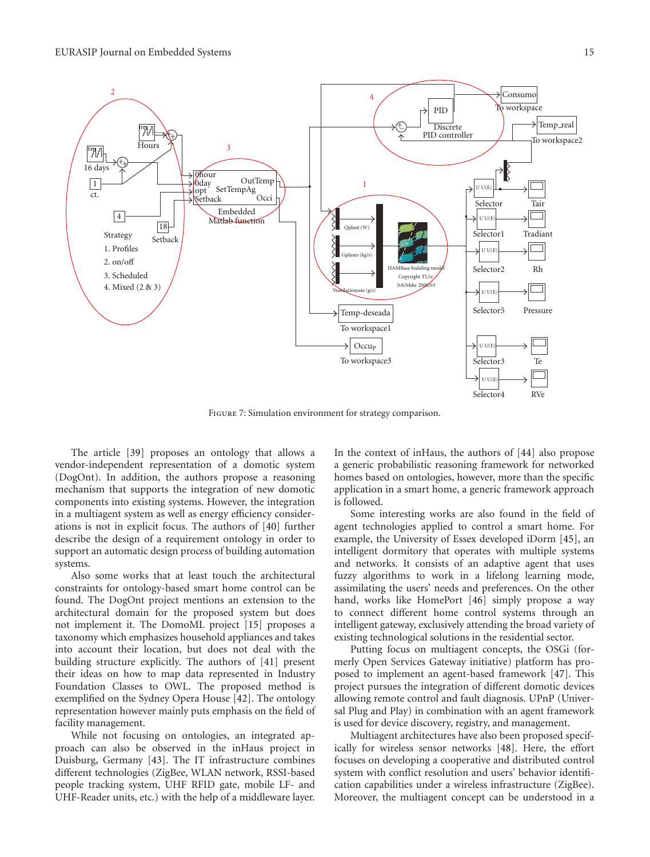

FIGURE 7: Simulation environment for strategy comparison.

The article [39] proposes an ontology that allows a vendor-independent representation of a domotic system (DogOnt). In addition, the authors propose a reasoning mechanism that supports the integration of new domotic components into existing systems. However, the integration in a multiagent system as well as energy efficiency considerations is not in explicit focus. The authors of [40] further describe the design of a requirement ontology in order to support an automatic design process of building automation systems.

Also some works that at least touch the architectural constraints for ontology-based smart home control can be found. The DogOnt project mentions an extension to the architectural domain for the proposed system but does not implement it. The DomoML project [15] proposes a taxonomy which emphasizes household appliances and takes into account their location, but does not deal with the building structure explicitly. The authors of [41] present their ideas on how to map data represented in Industry Foundation Classes to OWL. The proposed method is exemplified on the Sydney Opera House [42]. The ontology representation however mainly puts emphasis on the field of facility management.

While not focusing on ontologies, an integrated approach can also be observed in the inHaus project in Duisburg, Germany [43]. The IT infrastructure combines different technologies (ZigBee, WLAN network, RSSI-based people tracking system, UHF RFID gate, mobile LF- and UHF-Reader units, etc.) with the help of a middleware layer.

In the context of inHaus, the authors of [44] also propose a generic probabilistic reasoning framework for networked homes based on ontologies, however, more than the specific application in a smart home, a generic framework approach is followed.

Some interesting works are also found in the field of agent technologies applied to control a smart home. For example, the University of Essex developed iDorm [45], an intelligent dormitory that operates with multiple systems and networks. It consists of an adaptive agent that uses fuzzy algorithms to work in a lifelong learning mode, assimilating the users' needs and preferences. On the other hand, works like HomePort [46] simply propose a way to connect different home control systems through an intelligent gateway, exclusively attending the broad variety of existing technological solutions in the residential sector.

Putting focus on multiagent concepts, the OSGi (formerly Open Services Gateway initiative) platform has proposed to implement an agent-based framework [47]. This project pursues the integration of different domotic devices allowing remote control and fault diagnosis. UPnP (Universal Plug and Play) in combination with an agent framework is used for device discovery, registry, and management.

Multiagent architectures have also been proposed specifically for wireless sensor networks [48]. Here, the effort focuses on developing a cooperative and distributed control system with conflict resolution and users' behavior identification capabilities under a wireless infrastructure (ZigBee). Moreover, the multiagent concept can be understood in a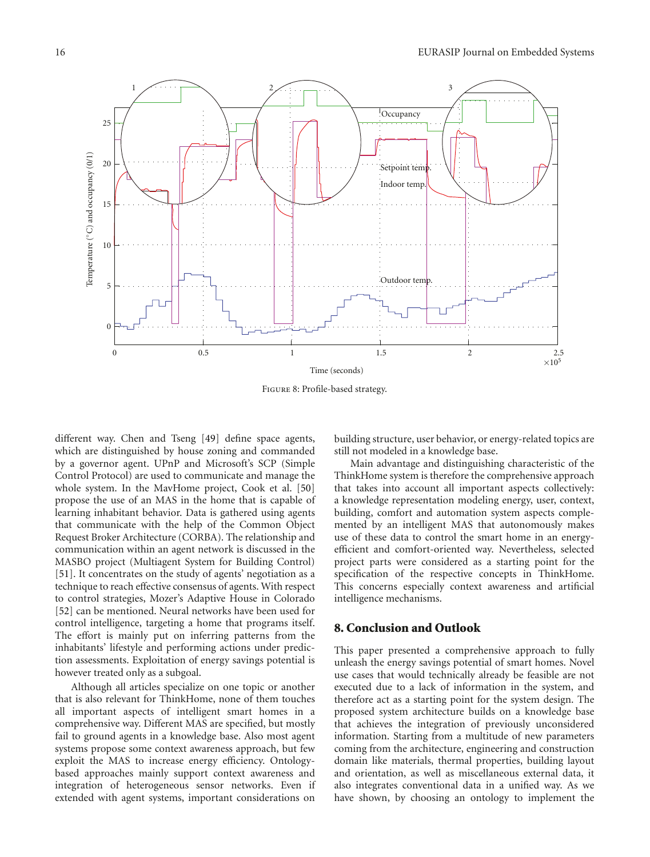

Figure 8: Profile-based strategy.

different way. Chen and Tseng [49] define space agents, which are distinguished by house zoning and commanded by a governor agent. UPnP and Microsoft's SCP (Simple Control Protocol) are used to communicate and manage the whole system. In the MavHome project, Cook et al. [50] propose the use of an MAS in the home that is capable of learning inhabitant behavior. Data is gathered using agents that communicate with the help of the Common Object Request Broker Architecture (CORBA). The relationship and communication within an agent network is discussed in the MASBO project (Multiagent System for Building Control) [51]. It concentrates on the study of agents' negotiation as a technique to reach effective consensus of agents. With respect to control strategies, Mozer's Adaptive House in Colorado [52] can be mentioned. Neural networks have been used for control intelligence, targeting a home that programs itself. The effort is mainly put on inferring patterns from the inhabitants' lifestyle and performing actions under prediction assessments. Exploitation of energy savings potential is however treated only as a subgoal.

Although all articles specialize on one topic or another that is also relevant for ThinkHome, none of them touches all important aspects of intelligent smart homes in a comprehensive way. Different MAS are specified, but mostly fail to ground agents in a knowledge base. Also most agent systems propose some context awareness approach, but few exploit the MAS to increase energy efficiency. Ontologybased approaches mainly support context awareness and integration of heterogeneous sensor networks. Even if extended with agent systems, important considerations on

building structure, user behavior, or energy-related topics are still not modeled in a knowledge base.

Main advantage and distinguishing characteristic of the ThinkHome system is therefore the comprehensive approach that takes into account all important aspects collectively: a knowledge representation modeling energy, user, context, building, comfort and automation system aspects complemented by an intelligent MAS that autonomously makes use of these data to control the smart home in an energyefficient and comfort-oriented way. Nevertheless, selected project parts were considered as a starting point for the specification of the respective concepts in ThinkHome. This concerns especially context awareness and artificial intelligence mechanisms.

## **8. Conclusion and Outlook**

This paper presented a comprehensive approach to fully unleash the energy savings potential of smart homes. Novel use cases that would technically already be feasible are not executed due to a lack of information in the system, and therefore act as a starting point for the system design. The proposed system architecture builds on a knowledge base that achieves the integration of previously unconsidered information. Starting from a multitude of new parameters coming from the architecture, engineering and construction domain like materials, thermal properties, building layout and orientation, as well as miscellaneous external data, it also integrates conventional data in a unified way. As we have shown, by choosing an ontology to implement the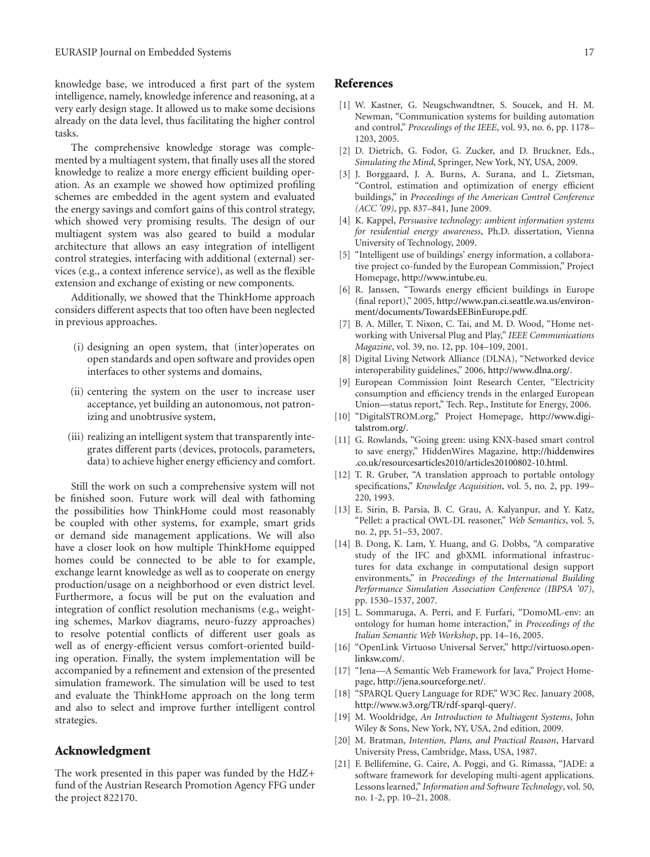knowledge base, we introduced a first part of the system intelligence, namely, knowledge inference and reasoning, at a very early design stage. It allowed us to make some decisions already on the data level, thus facilitating the higher control tasks.

The comprehensive knowledge storage was complemented by a multiagent system, that finally uses all the stored knowledge to realize a more energy efficient building operation. As an example we showed how optimized profiling schemes are embedded in the agent system and evaluated the energy savings and comfort gains of this control strategy, which showed very promising results. The design of our multiagent system was also geared to build a modular architecture that allows an easy integration of intelligent control strategies, interfacing with additional (external) services (e.g., a context inference service), as well as the flexible extension and exchange of existing or new components.

Additionally, we showed that the ThinkHome approach considers different aspects that too often have been neglected in previous approaches.

- (i) designing an open system, that (inter)operates on open standards and open software and provides open interfaces to other systems and domains,
- (ii) centering the system on the user to increase user acceptance, yet building an autonomous, not patronizing and unobtrusive system,
- (iii) realizing an intelligent system that transparently integrates different parts (devices, protocols, parameters, data) to achieve higher energy efficiency and comfort.

Still the work on such a comprehensive system will not be finished soon. Future work will deal with fathoming the possibilities how ThinkHome could most reasonably be coupled with other systems, for example, smart grids or demand side management applications. We will also have a closer look on how multiple ThinkHome equipped homes could be connected to be able to for example, exchange learnt knowledge as well as to cooperate on energy production/usage on a neighborhood or even district level. Furthermore, a focus will be put on the evaluation and integration of conflict resolution mechanisms (e.g., weighting schemes, Markov diagrams, neuro-fuzzy approaches) to resolve potential conflicts of different user goals as well as of energy-efficient versus comfort-oriented building operation. Finally, the system implementation will be accompanied by a refinement and extension of the presented simulation framework. The simulation will be used to test and evaluate the ThinkHome approach on the long term and also to select and improve further intelligent control strategies.

## **Acknowledgment**

The work presented in this paper was funded by the HdZ+ fund of the Austrian Research Promotion Agency FFG under the project 822170.

### **References**

- [1] W. Kastner, G. Neugschwandtner, S. Soucek, and H. M. Newman, "Communication systems for building automation and control," *Proceedings of the IEEE*, vol. 93, no. 6, pp. 1178– 1203, 2005.
- [2] D. Dietrich, G. Fodor, G. Zucker, and D. Bruckner, Eds., *Simulating the Mind*, Springer, New York, NY, USA, 2009.
- [3] J. Borggaard, J. A. Burns, A. Surana, and L. Zietsman, "Control, estimation and optimization of energy efficient buildings," in *Proceedings of the American Control Conference (ACC '09)*, pp. 837–841, June 2009.
- [4] K. Kappel, *Persuasive technology: ambient information systems for residential energy awareness*, Ph.D. dissertation, Vienna University of Technology, 2009.
- [5] "Intelligent use of buildings' energy information, a collaborative project co-funded by the European Commission," Project Homepage, http://www.intube.eu.
- [6] R. Janssen, "Towards energy efficient buildings in Europe (final report)," 2005, http://www.pan.ci.seattle.wa.us/environment/documents/TowardsEEBinEurope.pdf.
- [7] B. A. Miller, T. Nixon, C. Tai, and M. D. Wood, "Home networking with Universal Plug and Play," *IEEE Communications Magazine*, vol. 39, no. 12, pp. 104–109, 2001.
- [8] Digital Living Network Alliance (DLNA), "Networked device interoperability guidelines," 2006, http://www.dlna.org/.
- [9] European Commission Joint Research Center, "Electricity consumption and efficiency trends in the enlarged European Union—status report," Tech. Rep., Institute for Energy, 2006.
- [10] "DigitalSTROM.org," Project Homepage, http://www.digitalstrom.org/.
- [11] G. Rowlands, "Going green: using KNX-based smart control to save energy," HiddenWires Magazine, http://hiddenwires .co.uk/resourcesarticles2010/articles20100802-10.html.
- [12] T. R. Gruber, "A translation approach to portable ontology specifications," *Knowledge Acquisition*, vol. 5, no. 2, pp. 199– 220, 1993.
- [13] E. Sirin, B. Parsia, B. C. Grau, A. Kalyanpur, and Y. Katz, "Pellet: a practical OWL-DL reasoner," *Web Semantics*, vol. 5, no. 2, pp. 51–53, 2007.
- [14] B. Dong, K. Lam, Y. Huang, and G. Dobbs, "A comparative study of the IFC and gbXML informational infrastructures for data exchange in computational design support environments," in *Proceedings of the International Building Performance Simulation Association Conference (IBPSA '07)*, pp. 1530–1537, 2007.
- [15] L. Sommaruga, A. Perri, and F. Furfari, "DomoML-env: an ontology for human home interaction," in *Proceedings of the Italian Semantic Web Workshop*, pp. 14–16, 2005.
- [16] "OpenLink Virtuoso Universal Server," http://virtuoso.openlinksw.com/.
- [17] "Jena—A Semantic Web Framework for Java," Project Homepage, http://jena.sourceforge.net/.
- [18] "SPARQL Query Language for RDF," W3C Rec. January 2008, http://www.w3.org/TR/rdf-sparql-query/.
- [19] M. Wooldridge, *An Introduction to Multiagent Systems*, John Wiley & Sons, New York, NY, USA, 2nd edition, 2009.
- [20] M. Bratman, *Intention, Plans, and Practical Reason*, Harvard University Press, Cambridge, Mass, USA, 1987.
- [21] F. Bellifemine, G. Caire, A. Poggi, and G. Rimassa, "JADE: a software framework for developing multi-agent applications. Lessons learned," *Information and Software Technology*, vol. 50, no. 1-2, pp. 10–21, 2008.